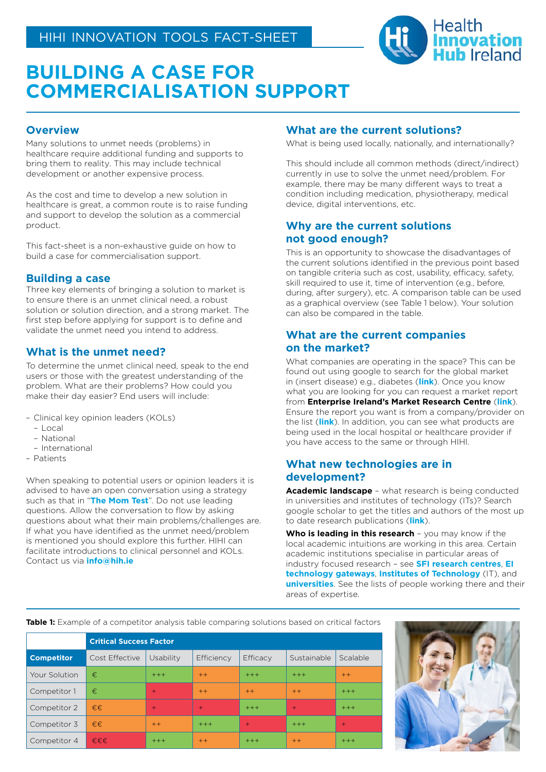

# **BUILDING A CASE FOR COMMERCIALISATION SUPPORT**

# **Overview**

Many solutions to unmet needs (problems) in healthcare require additional funding and supports to bring them to reality. This may include technical development or another expensive process.

As the cost and time to develop a new solution in healthcare is great, a common route is to raise funding and support to develop the solution as a commercial product.

This fact-sheet is a non-exhaustive guide on how to build a case for commercialisation support.

# **Building a case**

Three key elements of bringing a solution to market is to ensure there is an unmet clinical need, a robust solution or solution direction, and a strong market. The first step before applying for support is to define and validate the unmet need you intend to address.

# **What is the unmet need?**

To determine the unmet clinical need, speak to the end users or those with the greatest understanding of the problem. What are their problems? How could you make their day easier? End users will include:

- Clinical key opinion leaders (KOLs)
	- Local
	- National
- International
- Patients

When speaking to potential users or opinion leaders it is advised to have an open conversation using a strategy such as that in "**[The Mom Test](http://momtestbook.com/)**". Do not use leading questions. Allow the conversation to flow by asking questions about what their main problems/challenges are. If what you have identified as the unmet need/problem is mentioned you should explore this further. HIHI can facilitate introductions to clinical personnel and KOLs. Contact us via **info@hih.ie**

# **What are the current solutions?**

What is being used locally, nationally, and internationally?

This should include all common methods (direct/indirect) currently in use to solve the unmet need/problem. For example, there may be many different ways to treat a condition including medication, physiotherapy, medical device, digital interventions, etc.

# **Why are the current solutions not good enough?**

This is an opportunity to showcase the disadvantages of the current solutions identified in the previous point based on tangible criteria such as cost, usability, efficacy, safety, skill required to use it, time of intervention (e.g., before, during, after surgery), etc. A comparison table can be used as a graphical overview (see Table 1 below). Your solution can also be compared in the table.

# **What are the current companies on the market?**

What companies are operating in the space? This can be found out using google to search for the global market in (insert disease) e.g., diabetes (**[link](https://www.grandviewresearch.com/industry-analysis/diabetes-devices-market)**). Once you know what you are looking for you can request a market report from **Enterprise Ireland's Market Research Centre** (**[link](https://www.enterprise-ireland.com/en/export-assistance/market-research-centre/)**). Ensure the report you want is from a company/provider on the list (**[link](https://www.enterprise-ireland.com/en/Export-Assistance/Market-Research-Centre/Ready-to-Go/)**). In addition, you can see what products are being used in the local hospital or healthcare provider if you have access to the same or through HIHI.

# **What new technologies are in development?**

**Academic landscape** – what research is being conducted in universities and institutes of technology (ITs)? Search google scholar to get the titles and authors of the most up to date research publications (**[link](https://scholar.google.com/intl/en/scholar/help.html)**).

**Who is leading in this research** – you may know if the local academic intuitions are working in this area. Certain academic institutions specialise in particular areas of industry focused research – see **[SFI research centres](https://www.sfi.ie/sfi-research-centres/)**, **[EI](https://www.technologygateway.ie/network/)  [technology gateways](https://www.technologygateway.ie/network/)**, **[Institutes of Technology](https://www.educationinireland.com/en/where-can-i-study-/view-all-institutes-of-technology/)** (IT), and **[universities](https://www.iua.ie/ouruniversities/)**. See the lists of people working there and their areas of expertise.

**Table 1:** Example of a competitor analysis table comparing solutions based on critical factors

|                   | <b>Critical Success Factor</b> |           |            |          |             |          |
|-------------------|--------------------------------|-----------|------------|----------|-------------|----------|
| <b>Competitor</b> | Cost Effective                 | Usability | Efficiency | Efficacy | Sustainable | Scalable |
| Your Solution     | €                              | $+++$     | $++$       | $+++$    | $+++$       | $++$     |
| Competitor 1      | €                              | $\ddot{}$ | $++$       | $++$     | $++$        | $+++$    |
| Competitor 2      | €€                             | $+$       | $+$        | $+++$    | $+$         | $+++$    |
| Competitor 3      | $f \in \infty$                 | $++$      | $+++$      | $+$      | $+++$       | $+$      |
| Competitor 4      | €€€                            | $+++$     | $++$       | $+++$    | $++$        | $+++$    |